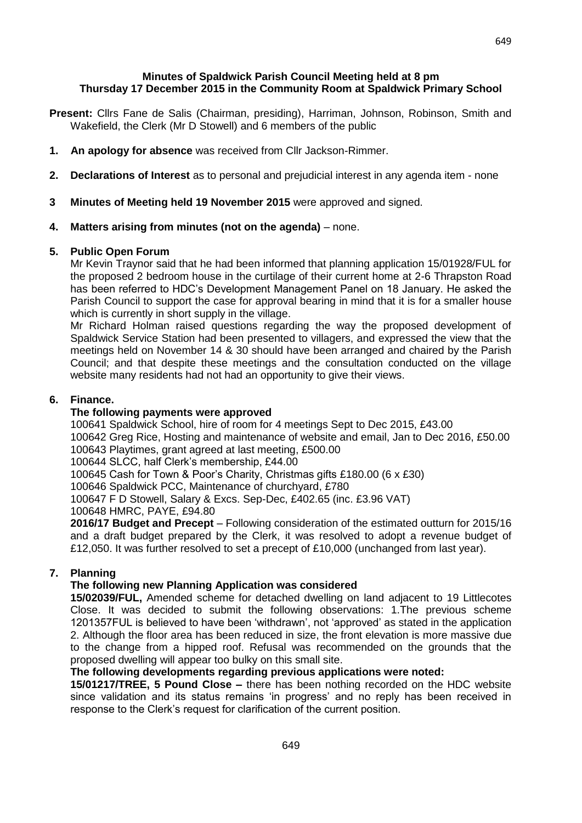## **Minutes of Spaldwick Parish Council Meeting held at 8 pm Thursday 17 December 2015 in the Community Room at Spaldwick Primary School**

- **Present:** Cllrs Fane de Salis (Chairman, presiding), Harriman, Johnson, Robinson, Smith and Wakefield, the Clerk (Mr D Stowell) and 6 members of the public
- **1. An apology for absence** was received from Cllr Jackson-Rimmer.
- **2. Declarations of Interest** as to personal and prejudicial interest in any agenda item none
- **3 Minutes of Meeting held 19 November 2015** were approved and signed.

# **4. Matters arising from minutes (not on the agenda)** – none.

### **5. Public Open Forum**

Mr Kevin Traynor said that he had been informed that planning application 15/01928/FUL for the proposed 2 bedroom house in the curtilage of their current home at 2-6 Thrapston Road has been referred to HDC's Development Management Panel on 18 January. He asked the Parish Council to support the case for approval bearing in mind that it is for a smaller house which is currently in short supply in the village.

Mr Richard Holman raised questions regarding the way the proposed development of Spaldwick Service Station had been presented to villagers, and expressed the view that the meetings held on November 14 & 30 should have been arranged and chaired by the Parish Council; and that despite these meetings and the consultation conducted on the village website many residents had not had an opportunity to give their views.

# **6. Finance.**

## **The following payments were approved**

100641 Spaldwick School, hire of room for 4 meetings Sept to Dec 2015, £43.00

100642 Greg Rice, Hosting and maintenance of website and email, Jan to Dec 2016, £50.00 100643 Playtimes, grant agreed at last meeting, £500.00

100644 SLCC, half Clerk's membership, £44.00

100645 Cash for Town & Poor's Charity, Christmas gifts £180.00 (6 x £30)

100646 Spaldwick PCC, Maintenance of churchyard, £780

100647 F D Stowell, Salary & Excs. Sep-Dec, £402.65 (inc. £3.96 VAT)

100648 HMRC, PAYE, £94.80

**2016/17 Budget and Precept** – Following consideration of the estimated outturn for 2015/16 and a draft budget prepared by the Clerk, it was resolved to adopt a revenue budget of £12,050. It was further resolved to set a precept of £10,000 (unchanged from last year).

### **7. Planning**

# **The following new Planning Application was considered**

**15/02039/FUL,** Amended scheme for detached dwelling on land adjacent to 19 Littlecotes Close. It was decided to submit the following observations: 1.The previous scheme 1201357FUL is believed to have been 'withdrawn', not 'approved' as stated in the application 2. Although the floor area has been reduced in size, the front elevation is more massive due to the change from a hipped roof. Refusal was recommended on the grounds that the proposed dwelling will appear too bulky on this small site.

## **The following developments regarding previous applications were noted:**

**15/01217/TREE, 5 Pound Close –** there has been nothing recorded on the HDC website since validation and its status remains 'in progress' and no reply has been received in response to the Clerk's request for clarification of the current position.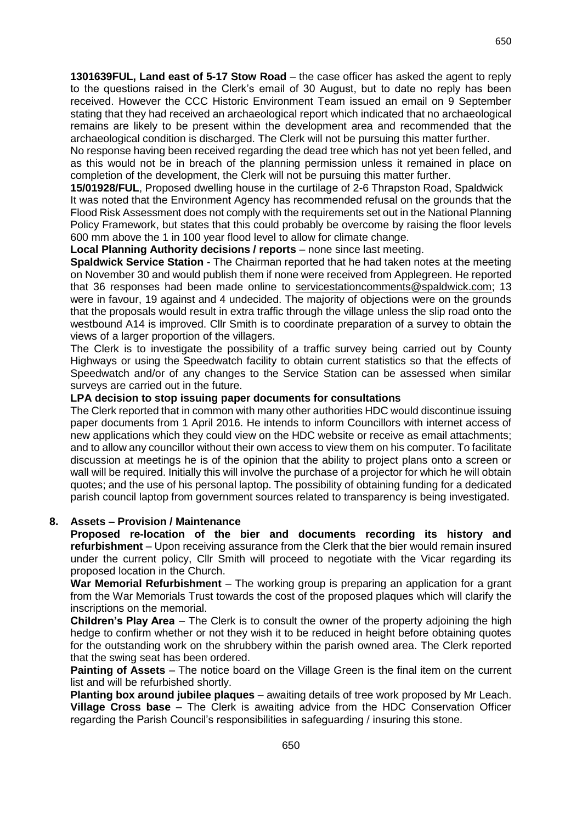**1301639FUL, Land east of 5-17 Stow Road** – the case officer has asked the agent to reply to the questions raised in the Clerk's email of 30 August, but to date no reply has been received. However the CCC Historic Environment Team issued an email on 9 September stating that they had received an archaeological report which indicated that no archaeological remains are likely to be present within the development area and recommended that the archaeological condition is discharged. The Clerk will not be pursuing this matter further.

No response having been received regarding the dead tree which has not yet been felled, and as this would not be in breach of the planning permission unless it remained in place on completion of the development, the Clerk will not be pursuing this matter further.

**15/01928/FUL**, Proposed dwelling house in the curtilage of 2-6 Thrapston Road, Spaldwick It was noted that the Environment Agency has recommended refusal on the grounds that the Flood Risk Assessment does not comply with the requirements set out in the National Planning Policy Framework, but states that this could probably be overcome by raising the floor levels 600 mm above the 1 in 100 year flood level to allow for climate change.

**Local Planning Authority decisions / reports** – none since last meeting.

**Spaldwick Service Station** - The Chairman reported that he had taken notes at the meeting on November 30 and would publish them if none were received from Applegreen. He reported that 36 responses had been made online to [servicestationcomments@spaldwick.com;](mailto:servicestationcomments@spaldwick.com) 13 were in favour, 19 against and 4 undecided. The majority of objections were on the grounds that the proposals would result in extra traffic through the village unless the slip road onto the westbound A14 is improved. Cllr Smith is to coordinate preparation of a survey to obtain the views of a larger proportion of the villagers.

The Clerk is to investigate the possibility of a traffic survey being carried out by County Highways or using the Speedwatch facility to obtain current statistics so that the effects of Speedwatch and/or of any changes to the Service Station can be assessed when similar surveys are carried out in the future.

# **LPA decision to stop issuing paper documents for consultations**

The Clerk reported that in common with many other authorities HDC would discontinue issuing paper documents from 1 April 2016. He intends to inform Councillors with internet access of new applications which they could view on the HDC website or receive as email attachments; and to allow any councillor without their own access to view them on his computer. To facilitate discussion at meetings he is of the opinion that the ability to project plans onto a screen or wall will be required. Initially this will involve the purchase of a projector for which he will obtain quotes; and the use of his personal laptop. The possibility of obtaining funding for a dedicated parish council laptop from government sources related to transparency is being investigated.

### **8. Assets – Provision / Maintenance**

**Proposed re-location of the bier and documents recording its history and refurbishment** – Upon receiving assurance from the Clerk that the bier would remain insured under the current policy, Cllr Smith will proceed to negotiate with the Vicar regarding its proposed location in the Church.

**War Memorial Refurbishment** – The working group is preparing an application for a grant from the War Memorials Trust towards the cost of the proposed plaques which will clarify the inscriptions on the memorial.

**Children's Play Area** – The Clerk is to consult the owner of the property adjoining the high hedge to confirm whether or not they wish it to be reduced in height before obtaining quotes for the outstanding work on the shrubbery within the parish owned area. The Clerk reported that the swing seat has been ordered.

**Painting of Assets** – The notice board on the Village Green is the final item on the current list and will be refurbished shortly.

**Planting box around jubilee plaques** – awaiting details of tree work proposed by Mr Leach. **Village Cross base** – The Clerk is awaiting advice from the HDC Conservation Officer regarding the Parish Council's responsibilities in safeguarding / insuring this stone.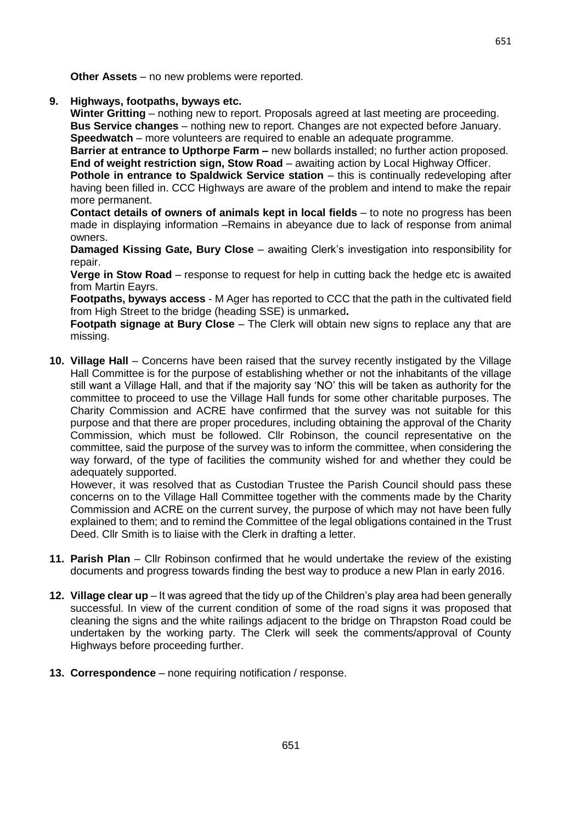**9. Highways, footpaths, byways etc.**

**Winter Gritting** – nothing new to report. Proposals agreed at last meeting are proceeding. **Bus Service changes** – nothing new to report. Changes are not expected before January. **Speedwatch** – more volunteers are required to enable an adequate programme.

**Barrier at entrance to Upthorpe Farm –** new bollards installed; no further action proposed. **End of weight restriction sign, Stow Road** – awaiting action by Local Highway Officer.

**Pothole in entrance to Spaldwick Service station – this is continually redeveloping after** having been filled in. CCC Highways are aware of the problem and intend to make the repair more permanent.

**Contact details of owners of animals kept in local fields** – to note no progress has been made in displaying information –Remains in abeyance due to lack of response from animal owners.

**Damaged Kissing Gate, Bury Close** – awaiting Clerk's investigation into responsibility for repair.

**Verge in Stow Road** – response to request for help in cutting back the hedge etc is awaited from Martin Eayrs.

**Footpaths, byways access** - M Ager has reported to CCC that the path in the cultivated field from High Street to the bridge (heading SSE) is unmarked**.**

**Footpath signage at Bury Close** – The Clerk will obtain new signs to replace any that are missing.

**10. Village Hall** – Concerns have been raised that the survey recently instigated by the Village Hall Committee is for the purpose of establishing whether or not the inhabitants of the village still want a Village Hall, and that if the majority say 'NO' this will be taken as authority for the committee to proceed to use the Village Hall funds for some other charitable purposes. The Charity Commission and ACRE have confirmed that the survey was not suitable for this purpose and that there are proper procedures, including obtaining the approval of the Charity Commission, which must be followed. Cllr Robinson, the council representative on the committee, said the purpose of the survey was to inform the committee, when considering the way forward, of the type of facilities the community wished for and whether they could be adequately supported.

However, it was resolved that as Custodian Trustee the Parish Council should pass these concerns on to the Village Hall Committee together with the comments made by the Charity Commission and ACRE on the current survey, the purpose of which may not have been fully explained to them; and to remind the Committee of the legal obligations contained in the Trust Deed. Cllr Smith is to liaise with the Clerk in drafting a letter.

- **11. Parish Plan**  Cllr Robinson confirmed that he would undertake the review of the existing documents and progress towards finding the best way to produce a new Plan in early 2016.
- **12. Village clear up** It was agreed that the tidy up of the Children's play area had been generally successful. In view of the current condition of some of the road signs it was proposed that cleaning the signs and the white railings adjacent to the bridge on Thrapston Road could be undertaken by the working party. The Clerk will seek the comments/approval of County Highways before proceeding further.
- **13. Correspondence** none requiring notification / response.

651